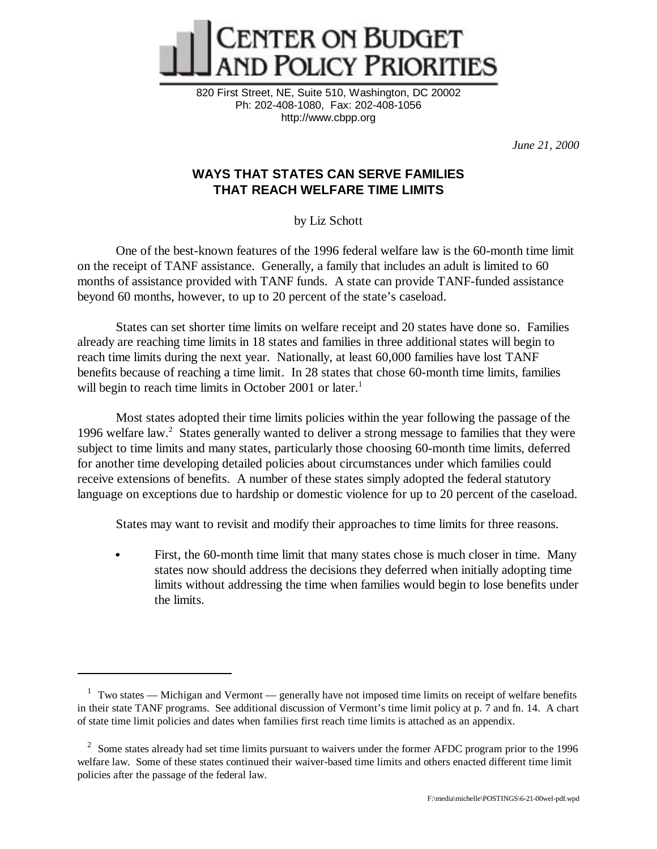

820 First Street, NE, Suite 510, Washington, DC 20002 Ph: 202-408-1080, Fax: 202-408-1056 http://www.cbpp.org

*June 21, 2000*

# **WAYS THAT STATES CAN SERVE FAMILIES THAT REACH WELFARE TIME LIMITS**

by Liz Schott

One of the best-known features of the 1996 federal welfare law is the 60-month time limit on the receipt of TANF assistance. Generally, a family that includes an adult is limited to 60 months of assistance provided with TANF funds. A state can provide TANF-funded assistance beyond 60 months, however, to up to 20 percent of the state's caseload.

States can set shorter time limits on welfare receipt and 20 states have done so. Families already are reaching time limits in 18 states and families in three additional states will begin to reach time limits during the next year. Nationally, at least 60,000 families have lost TANF benefits because of reaching a time limit. In 28 states that chose 60-month time limits, families will begin to reach time limits in October 2001 or later.<sup>1</sup>

Most states adopted their time limits policies within the year following the passage of the 1996 welfare law.<sup>2</sup> States generally wanted to deliver a strong message to families that they were subject to time limits and many states, particularly those choosing 60-month time limits, deferred for another time developing detailed policies about circumstances under which families could receive extensions of benefits. A number of these states simply adopted the federal statutory language on exceptions due to hardship or domestic violence for up to 20 percent of the caseload.

States may want to revisit and modify their approaches to time limits for three reasons.

 First, the 60-month time limit that many states chose is much closer in time. Many states now should address the decisions they deferred when initially adopting time limits without addressing the time when families would begin to lose benefits under the limits.

 $1$  Two states — Michigan and Vermont — generally have not imposed time limits on receipt of welfare benefits in their state TANF programs. See additional discussion of Vermont's time limit policy at p. 7 and fn. 14. A chart of state time limit policies and dates when families first reach time limits is attached as an appendix.

<sup>&</sup>lt;sup>2</sup> Some states already had set time limits pursuant to waivers under the former AFDC program prior to the 1996 welfare law. Some of these states continued their waiver-based time limits and others enacted different time limit policies after the passage of the federal law.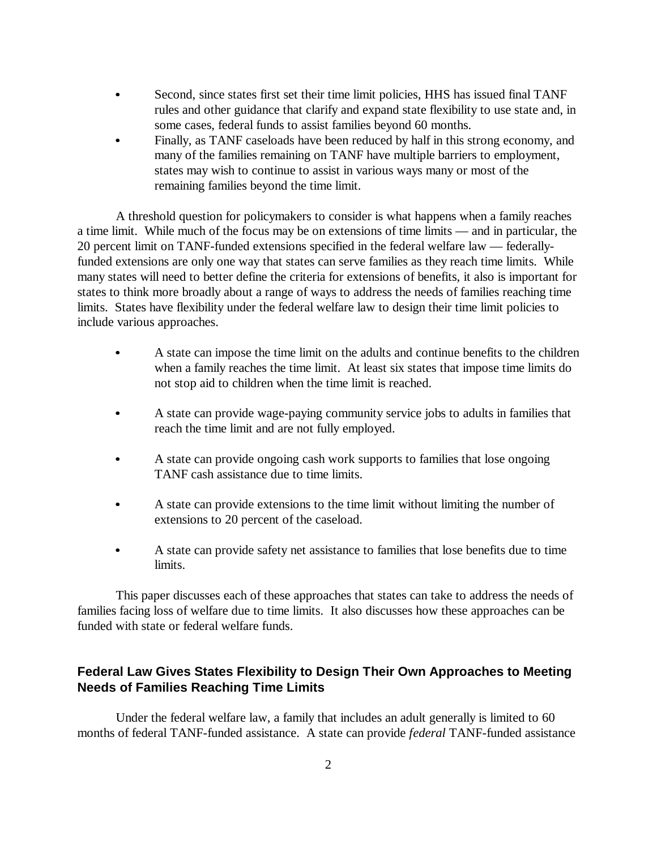- Second, since states first set their time limit policies, HHS has issued final TANF rules and other guidance that clarify and expand state flexibility to use state and, in some cases, federal funds to assist families beyond 60 months.
- $\bullet$  Finally, as TANF caseloads have been reduced by half in this strong economy, and many of the families remaining on TANF have multiple barriers to employment, states may wish to continue to assist in various ways many or most of the remaining families beyond the time limit.

A threshold question for policymakers to consider is what happens when a family reaches a time limit. While much of the focus may be on extensions of time limits — and in particular, the 20 percent limit on TANF-funded extensions specified in the federal welfare law — federallyfunded extensions are only one way that states can serve families as they reach time limits. While many states will need to better define the criteria for extensions of benefits, it also is important for states to think more broadly about a range of ways to address the needs of families reaching time limits. States have flexibility under the federal welfare law to design their time limit policies to include various approaches.

- $\bullet$  A state can impose the time limit on the adults and continue benefits to the children when a family reaches the time limit. At least six states that impose time limits do not stop aid to children when the time limit is reached.
- $\bullet$  A state can provide wage-paying community service jobs to adults in families that reach the time limit and are not fully employed.
- $\bullet$  A state can provide ongoing cash work supports to families that lose ongoing TANF cash assistance due to time limits.
- $\bullet$  A state can provide extensions to the time limit without limiting the number of extensions to 20 percent of the caseload.
- $\bullet$  A state can provide safety net assistance to families that lose benefits due to time limits.

This paper discusses each of these approaches that states can take to address the needs of families facing loss of welfare due to time limits. It also discusses how these approaches can be funded with state or federal welfare funds.

# **Federal Law Gives States Flexibility to Design Their Own Approaches to Meeting Needs of Families Reaching Time Limits**

Under the federal welfare law, a family that includes an adult generally is limited to 60 months of federal TANF-funded assistance. A state can provide *federal* TANF-funded assistance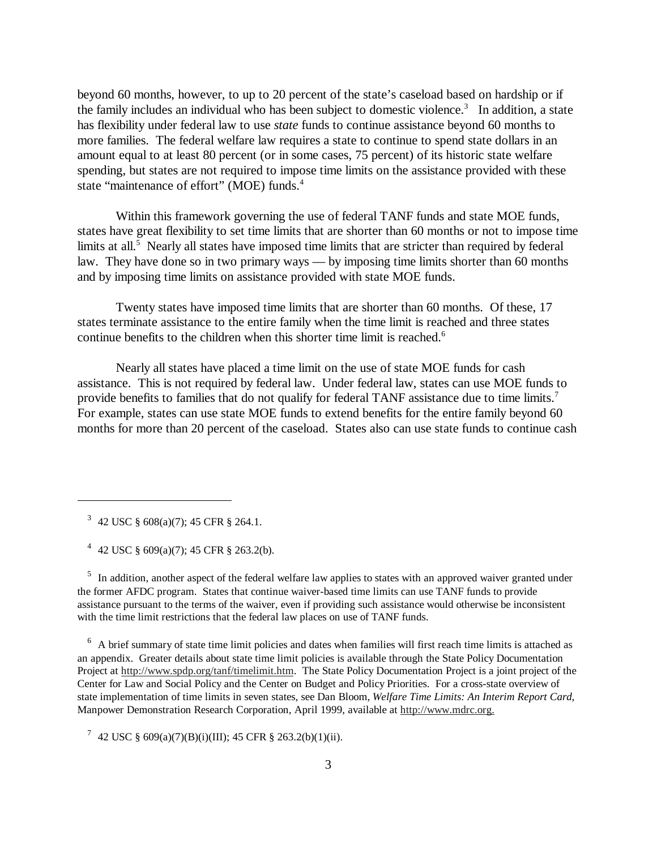beyond 60 months, however, to up to 20 percent of the state's caseload based on hardship or if the family includes an individual who has been subject to domestic violence.<sup>3</sup> In addition, a state has flexibility under federal law to use *state* funds to continue assistance beyond 60 months to more families. The federal welfare law requires a state to continue to spend state dollars in an amount equal to at least 80 percent (or in some cases, 75 percent) of its historic state welfare spending, but states are not required to impose time limits on the assistance provided with these state "maintenance of effort" (MOE) funds.<sup>4</sup>

Within this framework governing the use of federal TANF funds and state MOE funds, states have great flexibility to set time limits that are shorter than 60 months or not to impose time limits at all.<sup>5</sup> Nearly all states have imposed time limits that are stricter than required by federal law. They have done so in two primary ways — by imposing time limits shorter than 60 months and by imposing time limits on assistance provided with state MOE funds.

Twenty states have imposed time limits that are shorter than 60 months. Of these, 17 states terminate assistance to the entire family when the time limit is reached and three states continue benefits to the children when this shorter time limit is reached.<sup>6</sup>

Nearly all states have placed a time limit on the use of state MOE funds for cash assistance. This is not required by federal law. Under federal law, states can use MOE funds to provide benefits to families that do not qualify for federal TANF assistance due to time limits.<sup>7</sup> For example, states can use state MOE funds to extend benefits for the entire family beyond 60 months for more than 20 percent of the caseload. States also can use state funds to continue cash

3 42 USC § 608(a)(7); 45 CFR § 264.1.

4 42 USC § 609(a)(7); 45 CFR § 263.2(b).

<sup>5</sup> In addition, another aspect of the federal welfare law applies to states with an approved waiver granted under the former AFDC program. States that continue waiver-based time limits can use TANF funds to provide assistance pursuant to the terms of the waiver, even if providing such assistance would otherwise be inconsistent with the time limit restrictions that the federal law places on use of TANF funds.

<sup>6</sup> A brief summary of state time limit policies and dates when families will first reach time limits is attached as an appendix. Greater details about state time limit policies is available through the State Policy Documentation Project at http://www.spdp.org/tanf/timelimit.htm. The State Policy Documentation Project is a joint project of the Center for Law and Social Policy and the Center on Budget and Policy Priorities. For a cross-state overview of state implementation of time limits in seven states, see Dan Bloom, *Welfare Time Limits: An Interim Report Card*, Manpower Demonstration Research Corporation, April 1999, available at http://www.mdrc.org.

7 42 USC § 609(a)(7)(B)(i)(III); 45 CFR § 263.2(b)(1)(ii).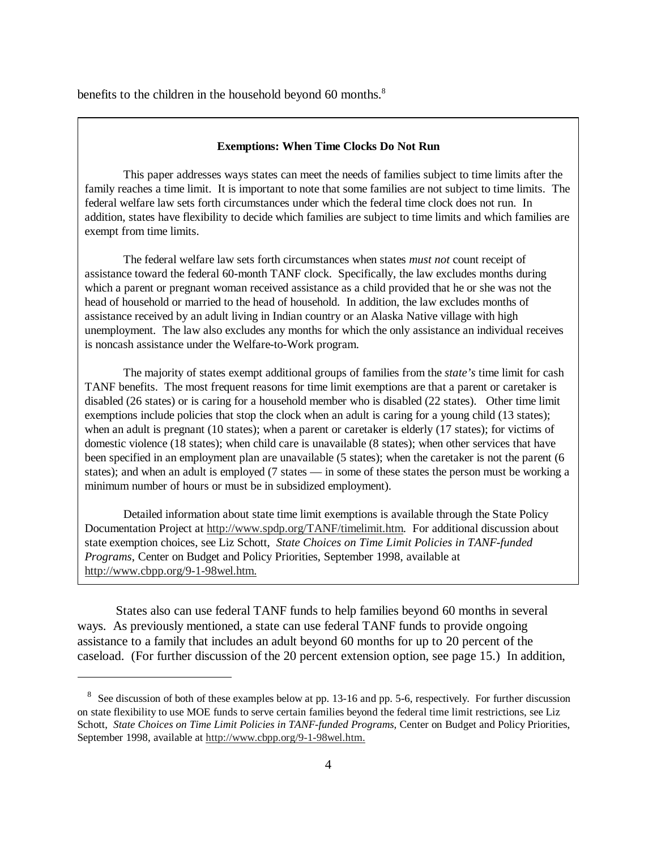benefits to the children in the household beyond 60 months.<sup>8</sup>

#### **Exemptions: When Time Clocks Do Not Run**

This paper addresses ways states can meet the needs of families subject to time limits after the family reaches a time limit. It is important to note that some families are not subject to time limits. The federal welfare law sets forth circumstances under which the federal time clock does not run. In addition, states have flexibility to decide which families are subject to time limits and which families are exempt from time limits.

The federal welfare law sets forth circumstances when states *must not* count receipt of assistance toward the federal 60-month TANF clock. Specifically, the law excludes months during which a parent or pregnant woman received assistance as a child provided that he or she was not the head of household or married to the head of household. In addition, the law excludes months of assistance received by an adult living in Indian country or an Alaska Native village with high unemployment. The law also excludes any months for which the only assistance an individual receives is noncash assistance under the Welfare-to-Work program.

The majority of states exempt additional groups of families from the *state's* time limit for cash TANF benefits. The most frequent reasons for time limit exemptions are that a parent or caretaker is disabled (26 states) or is caring for a household member who is disabled (22 states). Other time limit exemptions include policies that stop the clock when an adult is caring for a young child (13 states); when an adult is pregnant (10 states); when a parent or caretaker is elderly (17 states); for victims of domestic violence (18 states); when child care is unavailable (8 states); when other services that have been specified in an employment plan are unavailable (5 states); when the caretaker is not the parent (6 states); and when an adult is employed (7 states — in some of these states the person must be working a minimum number of hours or must be in subsidized employment).

Detailed information about state time limit exemptions is available through the State Policy Documentation Project at http://www.spdp.org/TANF/timelimit.htm. For additional discussion about state exemption choices, see Liz Schott, *State Choices on Time Limit Policies in TANF-funded Programs*, Center on Budget and Policy Priorities, September 1998, available at http://www.cbpp.org/9-1-98wel.htm.

States also can use federal TANF funds to help families beyond 60 months in several ways. As previously mentioned, a state can use federal TANF funds to provide ongoing assistance to a family that includes an adult beyond 60 months for up to 20 percent of the caseload. (For further discussion of the 20 percent extension option, see page 15.) In addition,

<sup>&</sup>lt;sup>8</sup> See discussion of both of these examples below at pp. 13-16 and pp. 5-6, respectively. For further discussion on state flexibility to use MOE funds to serve certain families beyond the federal time limit restrictions, see Liz Schott, *State Choices on Time Limit Policies in TANF-funded Programs*, Center on Budget and Policy Priorities, September 1998, available at http://www.cbpp.org/9-1-98wel.htm.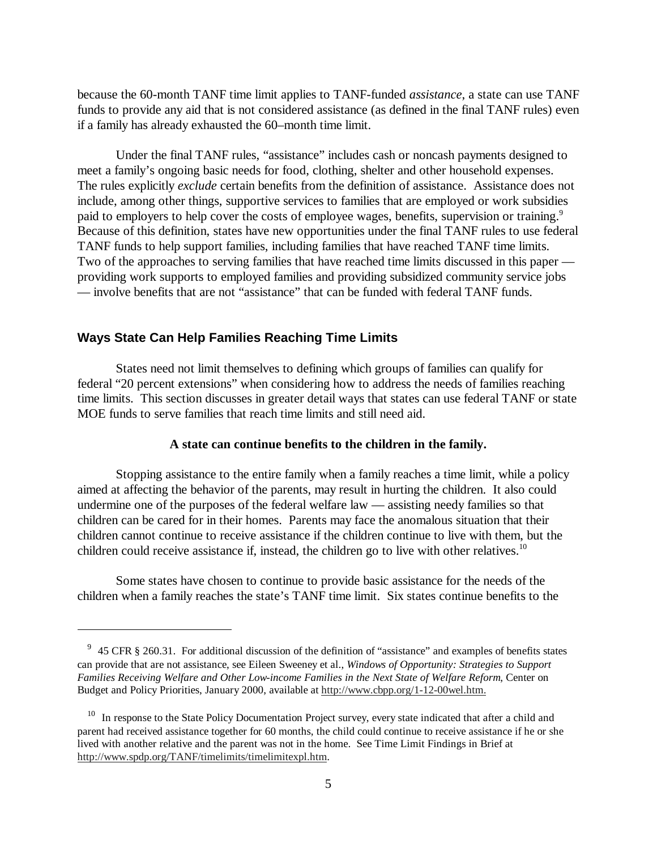because the 60-month TANF time limit applies to TANF-funded *assistance*, a state can use TANF funds to provide any aid that is not considered assistance (as defined in the final TANF rules) even if a family has already exhausted the 60–month time limit.

Under the final TANF rules, "assistance" includes cash or noncash payments designed to meet a family's ongoing basic needs for food, clothing, shelter and other household expenses. The rules explicitly *exclude* certain benefits from the definition of assistance. Assistance does not include, among other things, supportive services to families that are employed or work subsidies paid to employers to help cover the costs of employee wages, benefits, supervision or training.<sup>9</sup> Because of this definition, states have new opportunities under the final TANF rules to use federal TANF funds to help support families, including families that have reached TANF time limits. Two of the approaches to serving families that have reached time limits discussed in this paper providing work supports to employed families and providing subsidized community service jobs — involve benefits that are not "assistance" that can be funded with federal TANF funds.

## **Ways State Can Help Families Reaching Time Limits**

States need not limit themselves to defining which groups of families can qualify for federal "20 percent extensions" when considering how to address the needs of families reaching time limits. This section discusses in greater detail ways that states can use federal TANF or state MOE funds to serve families that reach time limits and still need aid.

#### **A state can continue benefits to the children in the family.**

Stopping assistance to the entire family when a family reaches a time limit, while a policy aimed at affecting the behavior of the parents, may result in hurting the children. It also could undermine one of the purposes of the federal welfare law — assisting needy families so that children can be cared for in their homes. Parents may face the anomalous situation that their children cannot continue to receive assistance if the children continue to live with them, but the children could receive assistance if, instead, the children go to live with other relatives.<sup>10</sup>

Some states have chosen to continue to provide basic assistance for the needs of the children when a family reaches the state's TANF time limit. Six states continue benefits to the

<sup>&</sup>lt;sup>9</sup> 45 CFR § 260.31. For additional discussion of the definition of "assistance" and examples of benefits states can provide that are not assistance, see Eileen Sweeney et al., *Windows of Opportunity: Strategies to Support Families Receiving Welfare and Other Low-income Families in the Next State of Welfare Reform*, Center on Budget and Policy Priorities, January 2000, available at http://www.cbpp.org/1-12-00wel.htm.

 $10$  In response to the State Policy Documentation Project survey, every state indicated that after a child and parent had received assistance together for 60 months, the child could continue to receive assistance if he or she lived with another relative and the parent was not in the home. See Time Limit Findings in Brief at http://www.spdp.org/TANF/timelimits/timelimitexpl.htm.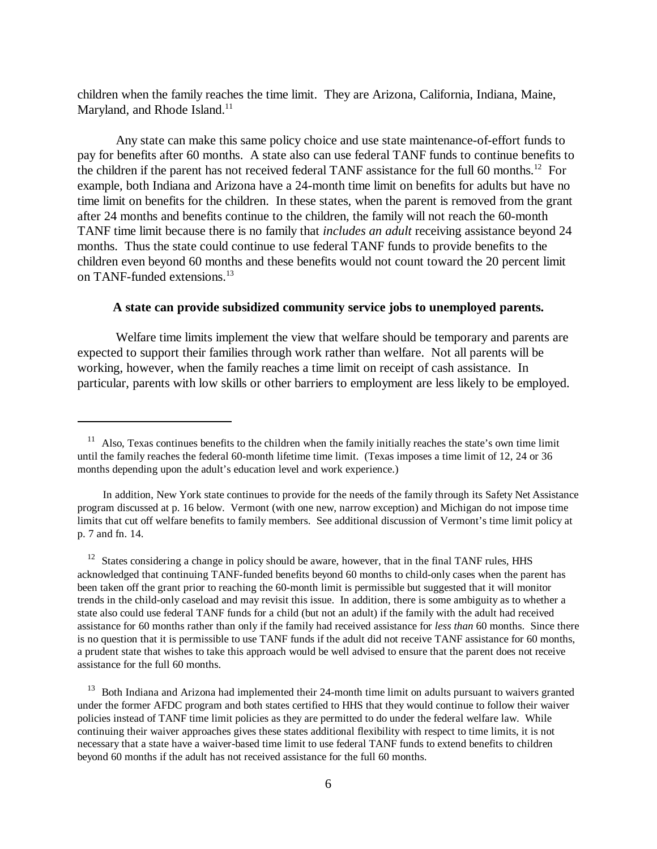children when the family reaches the time limit. They are Arizona, California, Indiana, Maine, Maryland, and Rhode Island.<sup>11</sup>

Any state can make this same policy choice and use state maintenance-of-effort funds to pay for benefits after 60 months. A state also can use federal TANF funds to continue benefits to the children if the parent has not received federal TANF assistance for the full 60 months.12 For example, both Indiana and Arizona have a 24-month time limit on benefits for adults but have no time limit on benefits for the children. In these states, when the parent is removed from the grant after 24 months and benefits continue to the children, the family will not reach the 60-month TANF time limit because there is no family that *includes an adult* receiving assistance beyond 24 months. Thus the state could continue to use federal TANF funds to provide benefits to the children even beyond 60 months and these benefits would not count toward the 20 percent limit on TANF-funded extensions.<sup>13</sup>

#### **A state can provide subsidized community service jobs to unemployed parents.**

Welfare time limits implement the view that welfare should be temporary and parents are expected to support their families through work rather than welfare. Not all parents will be working, however, when the family reaches a time limit on receipt of cash assistance. In particular, parents with low skills or other barriers to employment are less likely to be employed.

 $12$  States considering a change in policy should be aware, however, that in the final TANF rules, HHS acknowledged that continuing TANF-funded benefits beyond 60 months to child-only cases when the parent has been taken off the grant prior to reaching the 60-month limit is permissible but suggested that it will monitor trends in the child-only caseload and may revisit this issue. In addition, there is some ambiguity as to whether a state also could use federal TANF funds for a child (but not an adult) if the family with the adult had received assistance for 60 months rather than only if the family had received assistance for *less than* 60 months. Since there is no question that it is permissible to use TANF funds if the adult did not receive TANF assistance for 60 months, a prudent state that wishes to take this approach would be well advised to ensure that the parent does not receive assistance for the full 60 months.

<sup>13</sup> Both Indiana and Arizona had implemented their 24-month time limit on adults pursuant to waivers granted under the former AFDC program and both states certified to HHS that they would continue to follow their waiver policies instead of TANF time limit policies as they are permitted to do under the federal welfare law. While continuing their waiver approaches gives these states additional flexibility with respect to time limits, it is not necessary that a state have a waiver-based time limit to use federal TANF funds to extend benefits to children beyond 60 months if the adult has not received assistance for the full 60 months.

<sup>&</sup>lt;sup>11</sup> Also, Texas continues benefits to the children when the family initially reaches the state's own time limit until the family reaches the federal 60-month lifetime time limit. (Texas imposes a time limit of 12, 24 or 36 months depending upon the adult's education level and work experience.)

In addition, New York state continues to provide for the needs of the family through its Safety Net Assistance program discussed at p. 16 below. Vermont (with one new, narrow exception) and Michigan do not impose time limits that cut off welfare benefits to family members. See additional discussion of Vermont's time limit policy at p. 7 and fn. 14.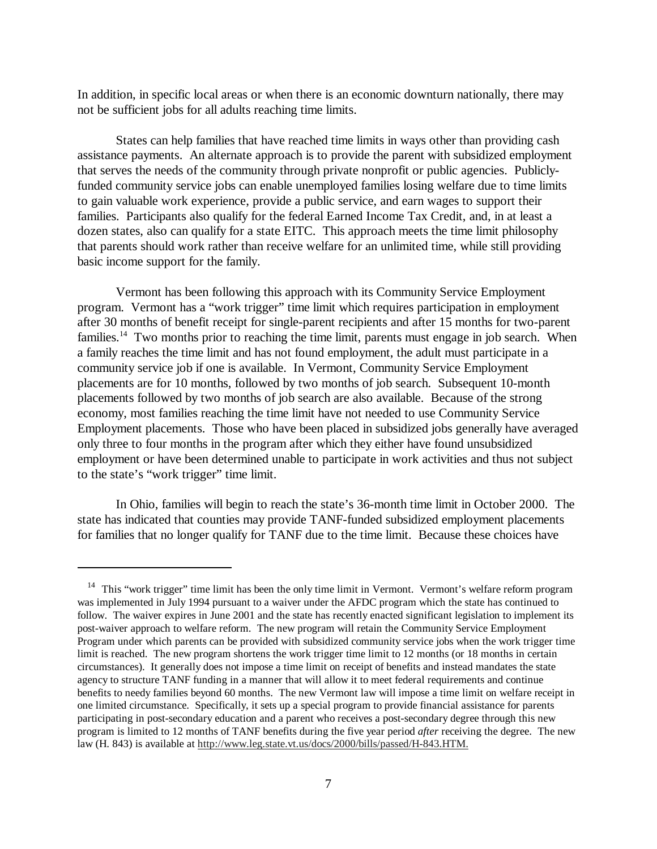In addition, in specific local areas or when there is an economic downturn nationally, there may not be sufficient jobs for all adults reaching time limits.

States can help families that have reached time limits in ways other than providing cash assistance payments. An alternate approach is to provide the parent with subsidized employment that serves the needs of the community through private nonprofit or public agencies. Publiclyfunded community service jobs can enable unemployed families losing welfare due to time limits to gain valuable work experience, provide a public service, and earn wages to support their families. Participants also qualify for the federal Earned Income Tax Credit, and, in at least a dozen states, also can qualify for a state EITC. This approach meets the time limit philosophy that parents should work rather than receive welfare for an unlimited time, while still providing basic income support for the family.

Vermont has been following this approach with its Community Service Employment program. Vermont has a "work trigger" time limit which requires participation in employment after 30 months of benefit receipt for single-parent recipients and after 15 months for two-parent families.<sup>14</sup> Two months prior to reaching the time limit, parents must engage in job search. When a family reaches the time limit and has not found employment, the adult must participate in a community service job if one is available. In Vermont, Community Service Employment placements are for 10 months, followed by two months of job search. Subsequent 10-month placements followed by two months of job search are also available. Because of the strong economy, most families reaching the time limit have not needed to use Community Service Employment placements. Those who have been placed in subsidized jobs generally have averaged only three to four months in the program after which they either have found unsubsidized employment or have been determined unable to participate in work activities and thus not subject to the state's "work trigger" time limit.

In Ohio, families will begin to reach the state's 36-month time limit in October 2000. The state has indicated that counties may provide TANF-funded subsidized employment placements for families that no longer qualify for TANF due to the time limit. Because these choices have

<sup>&</sup>lt;sup>14</sup> This "work trigger" time limit has been the only time limit in Vermont. Vermont's welfare reform program was implemented in July 1994 pursuant to a waiver under the AFDC program which the state has continued to follow. The waiver expires in June 2001 and the state has recently enacted significant legislation to implement its post-waiver approach to welfare reform. The new program will retain the Community Service Employment Program under which parents can be provided with subsidized community service jobs when the work trigger time limit is reached. The new program shortens the work trigger time limit to 12 months (or 18 months in certain circumstances). It generally does not impose a time limit on receipt of benefits and instead mandates the state agency to structure TANF funding in a manner that will allow it to meet federal requirements and continue benefits to needy families beyond 60 months. The new Vermont law will impose a time limit on welfare receipt in one limited circumstance. Specifically, it sets up a special program to provide financial assistance for parents participating in post-secondary education and a parent who receives a post-secondary degree through this new program is limited to 12 months of TANF benefits during the five year period *after* receiving the degree. The new law (H. 843) is available at http://www.leg.state.vt.us/docs/2000/bills/passed/H-843.HTM.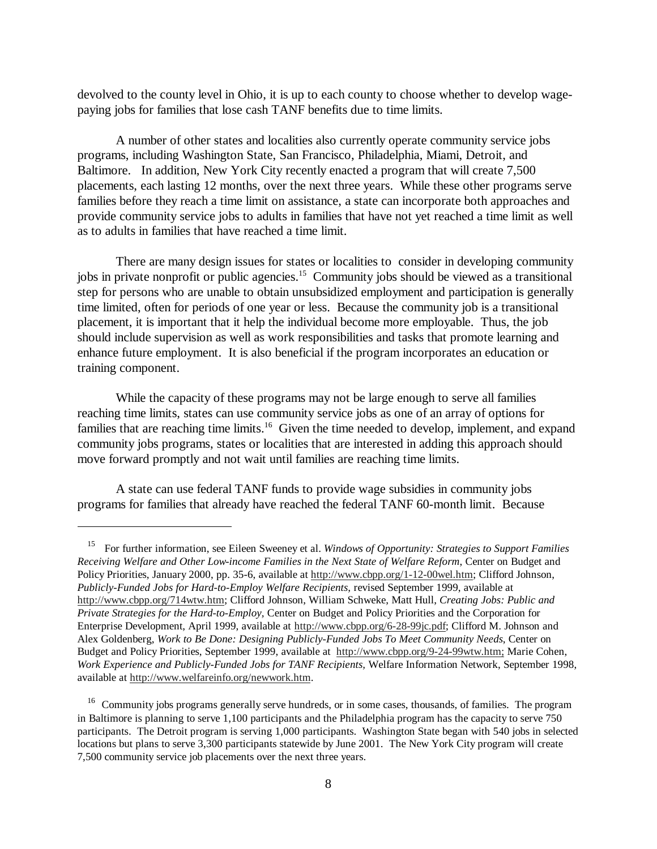devolved to the county level in Ohio, it is up to each county to choose whether to develop wagepaying jobs for families that lose cash TANF benefits due to time limits.

A number of other states and localities also currently operate community service jobs programs, including Washington State, San Francisco, Philadelphia, Miami, Detroit, and Baltimore. In addition, New York City recently enacted a program that will create 7,500 placements, each lasting 12 months, over the next three years. While these other programs serve families before they reach a time limit on assistance, a state can incorporate both approaches and provide community service jobs to adults in families that have not yet reached a time limit as well as to adults in families that have reached a time limit.

There are many design issues for states or localities to consider in developing community jobs in private nonprofit or public agencies.<sup>15</sup> Community jobs should be viewed as a transitional step for persons who are unable to obtain unsubsidized employment and participation is generally time limited, often for periods of one year or less. Because the community job is a transitional placement, it is important that it help the individual become more employable. Thus, the job should include supervision as well as work responsibilities and tasks that promote learning and enhance future employment. It is also beneficial if the program incorporates an education or training component.

While the capacity of these programs may not be large enough to serve all families reaching time limits, states can use community service jobs as one of an array of options for families that are reaching time limits.<sup>16</sup> Given the time needed to develop, implement, and expand community jobs programs, states or localities that are interested in adding this approach should move forward promptly and not wait until families are reaching time limits.

A state can use federal TANF funds to provide wage subsidies in community jobs programs for families that already have reached the federal TANF 60-month limit. Because

 <sup>15</sup> For further information, see Eileen Sweeney et al. *Windows of Opportunity: Strategies to Support Families Receiving Welfare and Other Low-income Families in the Next State of Welfare Reform*, Center on Budget and Policy Priorities, January 2000, pp. 35-6, available at http://www.cbpp.org/1-12-00wel.htm; Clifford Johnson, *Publicly-Funded Jobs for Hard-to-Employ Welfare Recipients,* revised September 1999, available at http://www.cbpp.org/714wtw.htm; Clifford Johnson, William Schweke, Matt Hull, *Creating Jobs: Public and Private Strategies for the Hard-to-Employ,* Center on Budget and Policy Priorities and the Corporation for Enterprise Development, April 1999, available at http://www.cbpp.org/6-28-99jc.pdf; Clifford M. Johnson and Alex Goldenberg, *Work to Be Done: Designing Publicly-Funded Jobs To Meet Community Needs*, Center on Budget and Policy Priorities, September 1999, available at http://www.cbpp.org/9-24-99wtw.htm; Marie Cohen, *Work Experience and Publicly-Funded Jobs for TANF Recipients,* Welfare Information Network, September 1998, available at http://www.welfareinfo.org/newwork.htm.

<sup>&</sup>lt;sup>16</sup> Community jobs programs generally serve hundreds, or in some cases, thousands, of families. The program in Baltimore is planning to serve 1,100 participants and the Philadelphia program has the capacity to serve 750 participants. The Detroit program is serving 1,000 participants. Washington State began with 540 jobs in selected locations but plans to serve 3,300 participants statewide by June 2001. The New York City program will create 7,500 community service job placements over the next three years.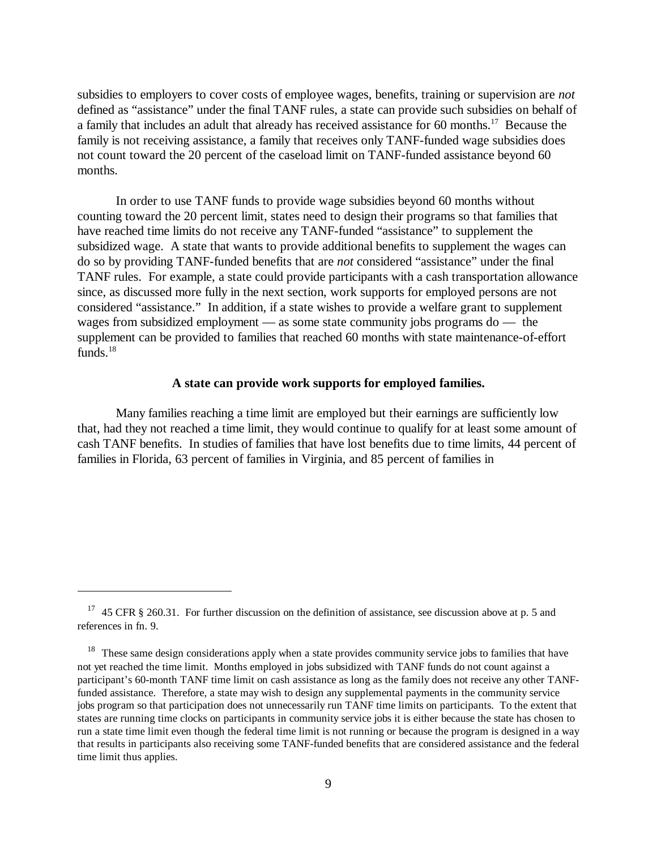subsidies to employers to cover costs of employee wages, benefits, training or supervision are *not* defined as "assistance" under the final TANF rules, a state can provide such subsidies on behalf of a family that includes an adult that already has received assistance for 60 months.17 Because the family is not receiving assistance, a family that receives only TANF-funded wage subsidies does not count toward the 20 percent of the caseload limit on TANF-funded assistance beyond 60 months.

In order to use TANF funds to provide wage subsidies beyond 60 months without counting toward the 20 percent limit, states need to design their programs so that families that have reached time limits do not receive any TANF-funded "assistance" to supplement the subsidized wage. A state that wants to provide additional benefits to supplement the wages can do so by providing TANF-funded benefits that are *not* considered "assistance" under the final TANF rules. For example, a state could provide participants with a cash transportation allowance since, as discussed more fully in the next section, work supports for employed persons are not considered "assistance." In addition, if a state wishes to provide a welfare grant to supplement wages from subsidized employment — as some state community jobs programs do — the supplement can be provided to families that reached 60 months with state maintenance-of-effort funds. $18$ 

## **A state can provide work supports for employed families.**

Many families reaching a time limit are employed but their earnings are sufficiently low that, had they not reached a time limit, they would continue to qualify for at least some amount of cash TANF benefits. In studies of families that have lost benefits due to time limits, 44 percent of families in Florida, 63 percent of families in Virginia, and 85 percent of families in

<sup>&</sup>lt;sup>17</sup> 45 CFR § 260.31. For further discussion on the definition of assistance, see discussion above at p. 5 and references in fn. 9.

<sup>&</sup>lt;sup>18</sup> These same design considerations apply when a state provides community service jobs to families that have not yet reached the time limit. Months employed in jobs subsidized with TANF funds do not count against a participant's 60-month TANF time limit on cash assistance as long as the family does not receive any other TANFfunded assistance. Therefore, a state may wish to design any supplemental payments in the community service jobs program so that participation does not unnecessarily run TANF time limits on participants. To the extent that states are running time clocks on participants in community service jobs it is either because the state has chosen to run a state time limit even though the federal time limit is not running or because the program is designed in a way that results in participants also receiving some TANF-funded benefits that are considered assistance and the federal time limit thus applies.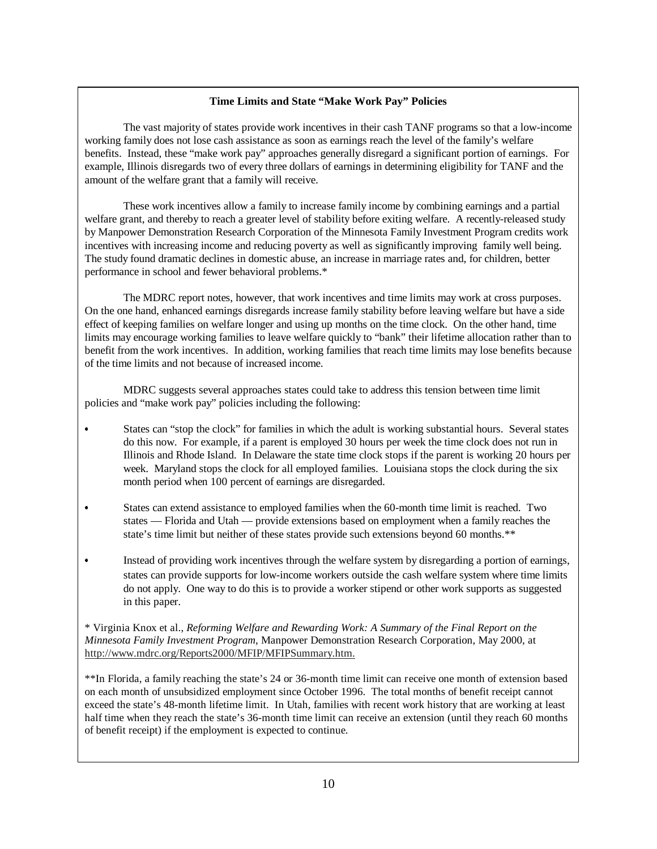#### **Time Limits and State "Make Work Pay" Policies**

The vast majority of states provide work incentives in their cash TANF programs so that a low-income working family does not lose cash assistance as soon as earnings reach the level of the family's welfare benefits. Instead, these "make work pay" approaches generally disregard a significant portion of earnings. For example, Illinois disregards two of every three dollars of earnings in determining eligibility for TANF and the amount of the welfare grant that a family will receive.

These work incentives allow a family to increase family income by combining earnings and a partial welfare grant, and thereby to reach a greater level of stability before exiting welfare. A recently-released study by Manpower Demonstration Research Corporation of the Minnesota Family Investment Program credits work incentives with increasing income and reducing poverty as well as significantly improving family well being. The study found dramatic declines in domestic abuse, an increase in marriage rates and, for children, better performance in school and fewer behavioral problems.\*

The MDRC report notes, however, that work incentives and time limits may work at cross purposes. On the one hand, enhanced earnings disregards increase family stability before leaving welfare but have a side effect of keeping families on welfare longer and using up months on the time clock. On the other hand, time limits may encourage working families to leave welfare quickly to "bank" their lifetime allocation rather than to benefit from the work incentives. In addition, working families that reach time limits may lose benefits because of the time limits and not because of increased income.

MDRC suggests several approaches states could take to address this tension between time limit policies and "make work pay" policies including the following:

- $\overline{\phantom{a}}$  States can "stop the clock" for families in which the adult is working substantial hours. Several states do this now. For example, if a parent is employed 30 hours per week the time clock does not run in Illinois and Rhode Island. In Delaware the state time clock stops if the parent is working 20 hours per week. Maryland stops the clock for all employed families. Louisiana stops the clock during the six month period when 100 percent of earnings are disregarded.
- $\bullet$  States can extend assistance to employed families when the 60-month time limit is reached. Two states — Florida and Utah — provide extensions based on employment when a family reaches the state's time limit but neither of these states provide such extensions beyond 60 months.\*\*
- $\bullet$  Instead of providing work incentives through the welfare system by disregarding a portion of earnings, states can provide supports for low-income workers outside the cash welfare system where time limits do not apply. One way to do this is to provide a worker stipend or other work supports as suggested in this paper.

\* Virginia Knox et al., *Reforming Welfare and Rewarding Work: A Summary of the Final Report on the Minnesota Family Investment Program*, Manpower Demonstration Research Corporation, May 2000, at http://www.mdrc.org/Reports2000/MFIP/MFIPSummary.htm.

\*\*In Florida, a family reaching the state's 24 or 36-month time limit can receive one month of extension based on each month of unsubsidized employment since October 1996. The total months of benefit receipt cannot exceed the state's 48-month lifetime limit. In Utah, families with recent work history that are working at least half time when they reach the state's 36-month time limit can receive an extension (until they reach 60 months of benefit receipt) if the employment is expected to continue.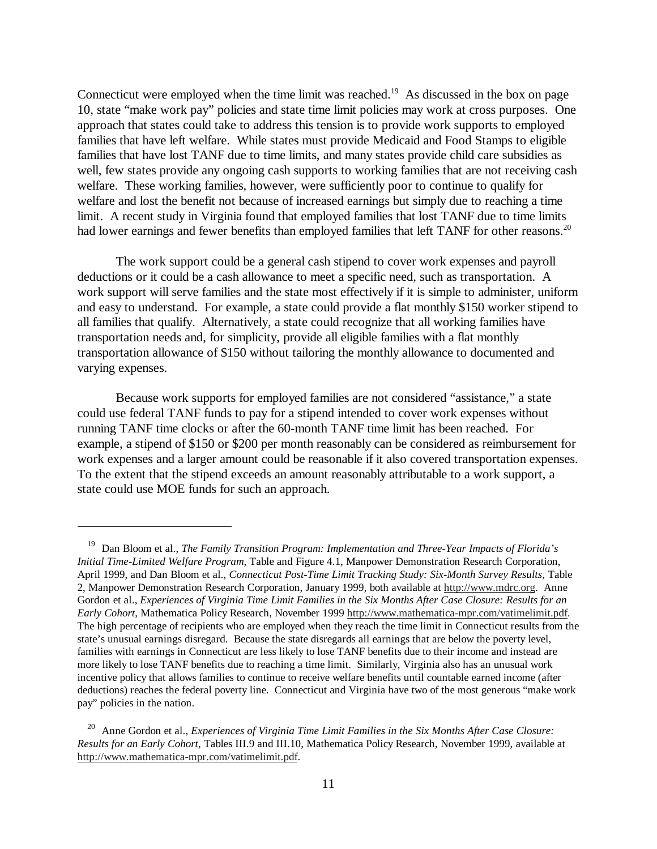Connecticut were employed when the time limit was reached.<sup>19</sup> As discussed in the box on page 10, state "make work pay" policies and state time limit policies may work at cross purposes. One approach that states could take to address this tension is to provide work supports to employed families that have left welfare. While states must provide Medicaid and Food Stamps to eligible families that have lost TANF due to time limits, and many states provide child care subsidies as well, few states provide any ongoing cash supports to working families that are not receiving cash welfare. These working families, however, were sufficiently poor to continue to qualify for welfare and lost the benefit not because of increased earnings but simply due to reaching a time limit. A recent study in Virginia found that employed families that lost TANF due to time limits had lower earnings and fewer benefits than employed families that left TANF for other reasons.<sup>20</sup>

The work support could be a general cash stipend to cover work expenses and payroll deductions or it could be a cash allowance to meet a specific need, such as transportation. A work support will serve families and the state most effectively if it is simple to administer, uniform and easy to understand. For example, a state could provide a flat monthly \$150 worker stipend to all families that qualify. Alternatively, a state could recognize that all working families have transportation needs and, for simplicity, provide all eligible families with a flat monthly transportation allowance of \$150 without tailoring the monthly allowance to documented and varying expenses.

Because work supports for employed families are not considered "assistance," a state could use federal TANF funds to pay for a stipend intended to cover work expenses without running TANF time clocks or after the 60-month TANF time limit has been reached. For example, a stipend of \$150 or \$200 per month reasonably can be considered as reimbursement for work expenses and a larger amount could be reasonable if it also covered transportation expenses. To the extent that the stipend exceeds an amount reasonably attributable to a work support, a state could use MOE funds for such an approach.

 <sup>19</sup> Dan Bloom et al., *The Family Transition Program: Implementation and Three-Year Impacts of Florida's Initial Time-Limited Welfare Program*, Table and Figure 4.1, Manpower Demonstration Research Corporation, April 1999, and Dan Bloom et al., *Connecticut Post-Time Limit Tracking Study: Six-Month Survey Results*, Table 2, Manpower Demonstration Research Corporation, January 1999, both available at http://www.mdrc.org. Anne Gordon et al., *Experiences of Virginia Time Limit Families in the Six Months After Case Closure: Results for an Early Cohort*, Mathematica Policy Research, November 1999 http://www.mathematica-mpr.com/vatimelimit.pdf. The high percentage of recipients who are employed when they reach the time limit in Connecticut results from the state's unusual earnings disregard. Because the state disregards all earnings that are below the poverty level, families with earnings in Connecticut are less likely to lose TANF benefits due to their income and instead are more likely to lose TANF benefits due to reaching a time limit. Similarly, Virginia also has an unusual work incentive policy that allows families to continue to receive welfare benefits until countable earned income (after deductions) reaches the federal poverty line. Connecticut and Virginia have two of the most generous "make work pay" policies in the nation.

 <sup>20</sup> Anne Gordon et al., *Experiences of Virginia Time Limit Families in the Six Months After Case Closure: Results for an Early Cohort*, Tables III.9 and III.10, Mathematica Policy Research, November 1999, available at http://www.mathematica-mpr.com/vatimelimit.pdf.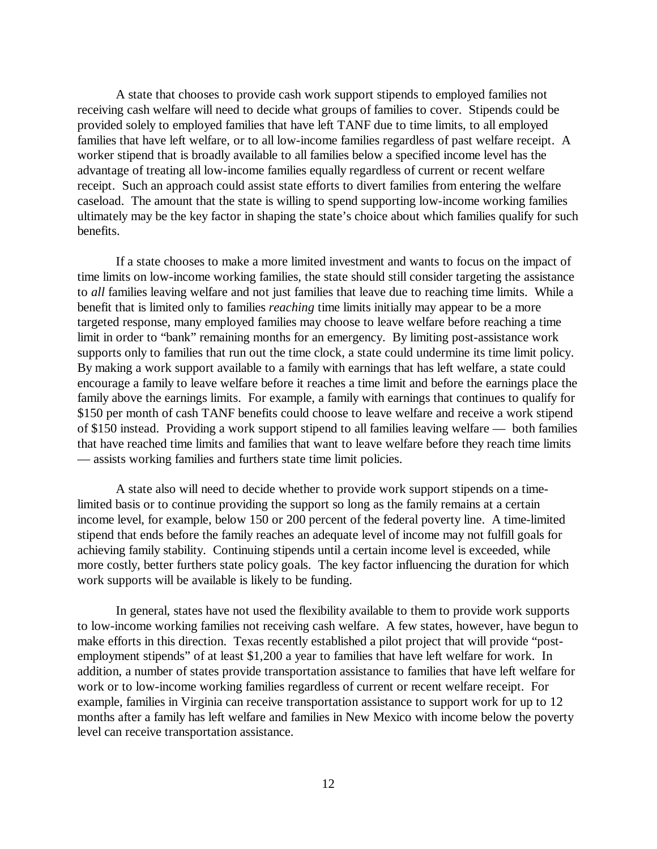A state that chooses to provide cash work support stipends to employed families not receiving cash welfare will need to decide what groups of families to cover. Stipends could be provided solely to employed families that have left TANF due to time limits, to all employed families that have left welfare, or to all low-income families regardless of past welfare receipt. A worker stipend that is broadly available to all families below a specified income level has the advantage of treating all low-income families equally regardless of current or recent welfare receipt. Such an approach could assist state efforts to divert families from entering the welfare caseload. The amount that the state is willing to spend supporting low-income working families ultimately may be the key factor in shaping the state's choice about which families qualify for such benefits.

If a state chooses to make a more limited investment and wants to focus on the impact of time limits on low-income working families, the state should still consider targeting the assistance to *all* families leaving welfare and not just families that leave due to reaching time limits. While a benefit that is limited only to families *reaching* time limits initially may appear to be a more targeted response, many employed families may choose to leave welfare before reaching a time limit in order to "bank" remaining months for an emergency. By limiting post-assistance work supports only to families that run out the time clock, a state could undermine its time limit policy. By making a work support available to a family with earnings that has left welfare, a state could encourage a family to leave welfare before it reaches a time limit and before the earnings place the family above the earnings limits. For example, a family with earnings that continues to qualify for \$150 per month of cash TANF benefits could choose to leave welfare and receive a work stipend of \$150 instead. Providing a work support stipend to all families leaving welfare — both families that have reached time limits and families that want to leave welfare before they reach time limits — assists working families and furthers state time limit policies.

A state also will need to decide whether to provide work support stipends on a timelimited basis or to continue providing the support so long as the family remains at a certain income level, for example, below 150 or 200 percent of the federal poverty line. A time-limited stipend that ends before the family reaches an adequate level of income may not fulfill goals for achieving family stability. Continuing stipends until a certain income level is exceeded, while more costly, better furthers state policy goals. The key factor influencing the duration for which work supports will be available is likely to be funding.

In general, states have not used the flexibility available to them to provide work supports to low-income working families not receiving cash welfare. A few states, however, have begun to make efforts in this direction. Texas recently established a pilot project that will provide "postemployment stipends" of at least \$1,200 a year to families that have left welfare for work. In addition, a number of states provide transportation assistance to families that have left welfare for work or to low-income working families regardless of current or recent welfare receipt. For example, families in Virginia can receive transportation assistance to support work for up to 12 months after a family has left welfare and families in New Mexico with income below the poverty level can receive transportation assistance.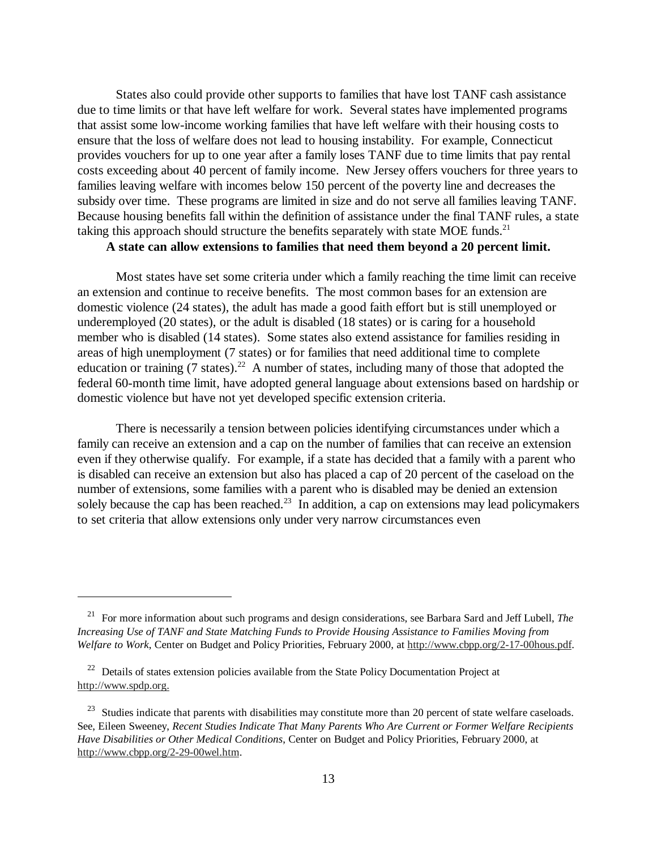States also could provide other supports to families that have lost TANF cash assistance due to time limits or that have left welfare for work. Several states have implemented programs that assist some low-income working families that have left welfare with their housing costs to ensure that the loss of welfare does not lead to housing instability. For example, Connecticut provides vouchers for up to one year after a family loses TANF due to time limits that pay rental costs exceeding about 40 percent of family income. New Jersey offers vouchers for three years to families leaving welfare with incomes below 150 percent of the poverty line and decreases the subsidy over time. These programs are limited in size and do not serve all families leaving TANF. Because housing benefits fall within the definition of assistance under the final TANF rules, a state taking this approach should structure the benefits separately with state MOE funds.<sup>21</sup>

#### **A state can allow extensions to families that need them beyond a 20 percent limit.**

Most states have set some criteria under which a family reaching the time limit can receive an extension and continue to receive benefits. The most common bases for an extension are domestic violence (24 states), the adult has made a good faith effort but is still unemployed or underemployed (20 states), or the adult is disabled (18 states) or is caring for a household member who is disabled (14 states). Some states also extend assistance for families residing in areas of high unemployment (7 states) or for families that need additional time to complete education or training  $(7 \text{ states})^{22}$  A number of states, including many of those that adopted the federal 60-month time limit, have adopted general language about extensions based on hardship or domestic violence but have not yet developed specific extension criteria.

There is necessarily a tension between policies identifying circumstances under which a family can receive an extension and a cap on the number of families that can receive an extension even if they otherwise qualify. For example, if a state has decided that a family with a parent who is disabled can receive an extension but also has placed a cap of 20 percent of the caseload on the number of extensions, some families with a parent who is disabled may be denied an extension solely because the cap has been reached.<sup>23</sup> In addition, a cap on extensions may lead policymakers to set criteria that allow extensions only under very narrow circumstances even

 <sup>21</sup> For more information about such programs and design considerations, see Barbara Sard and Jeff Lubell, *The Increasing Use of TANF and State Matching Funds to Provide Housing Assistance to Families Moving from Welfare to Work*, Center on Budget and Policy Priorities, February 2000, at http://www.cbpp.org/2-17-00hous.pdf.

 $22$  Details of states extension policies available from the State Policy Documentation Project at http://www.spdp.org.

<sup>&</sup>lt;sup>23</sup> Studies indicate that parents with disabilities may constitute more than 20 percent of state welfare caseloads. See, Eileen Sweeney, *Recent Studies Indicate That Many Parents Who Are Current or Former Welfare Recipients Have Disabilities or Other Medical Conditions*, Center on Budget and Policy Priorities, February 2000, at http://www.cbpp.org/2-29-00wel.htm.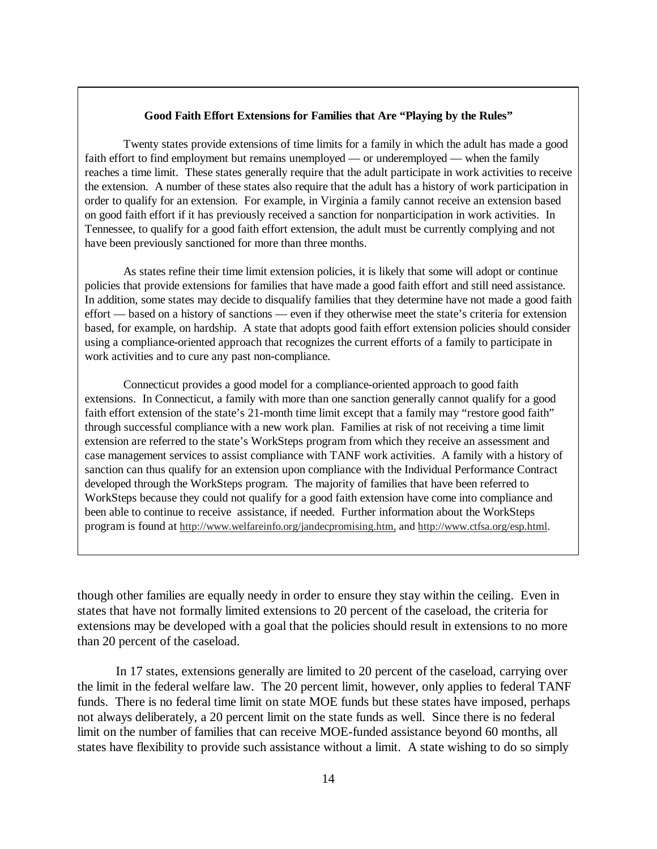#### **Good Faith Effort Extensions for Families that Are "Playing by the Rules"**

Twenty states provide extensions of time limits for a family in which the adult has made a good faith effort to find employment but remains unemployed — or underemployed — when the family reaches a time limit. These states generally require that the adult participate in work activities to receive the extension. A number of these states also require that the adult has a history of work participation in order to qualify for an extension. For example, in Virginia a family cannot receive an extension based on good faith effort if it has previously received a sanction for nonparticipation in work activities. In Tennessee, to qualify for a good faith effort extension, the adult must be currently complying and not have been previously sanctioned for more than three months.

As states refine their time limit extension policies, it is likely that some will adopt or continue policies that provide extensions for families that have made a good faith effort and still need assistance. In addition, some states may decide to disqualify families that they determine have not made a good faith effort — based on a history of sanctions — even if they otherwise meet the state's criteria for extension based, for example, on hardship. A state that adopts good faith effort extension policies should consider using a compliance-oriented approach that recognizes the current efforts of a family to participate in work activities and to cure any past non-compliance.

Connecticut provides a good model for a compliance-oriented approach to good faith extensions. In Connecticut, a family with more than one sanction generally cannot qualify for a good faith effort extension of the state's 21-month time limit except that a family may "restore good faith" through successful compliance with a new work plan. Families at risk of not receiving a time limit extension are referred to the state's WorkSteps program from which they receive an assessment and case management services to assist compliance with TANF work activities. A family with a history of sanction can thus qualify for an extension upon compliance with the Individual Performance Contract developed through the WorkSteps program. The majority of families that have been referred to WorkSteps because they could not qualify for a good faith extension have come into compliance and been able to continue to receive assistance, if needed. Further information about the WorkSteps program is found at http://www.welfareinfo.org/jandecpromising.htm, and http://www.ctfsa.org/esp.html.

though other families are equally needy in order to ensure they stay within the ceiling. Even in states that have not formally limited extensions to 20 percent of the caseload, the criteria for extensions may be developed with a goal that the policies should result in extensions to no more than 20 percent of the caseload.

In 17 states, extensions generally are limited to 20 percent of the caseload, carrying over the limit in the federal welfare law. The 20 percent limit, however, only applies to federal TANF funds. There is no federal time limit on state MOE funds but these states have imposed, perhaps not always deliberately, a 20 percent limit on the state funds as well. Since there is no federal limit on the number of families that can receive MOE-funded assistance beyond 60 months, all states have flexibility to provide such assistance without a limit. A state wishing to do so simply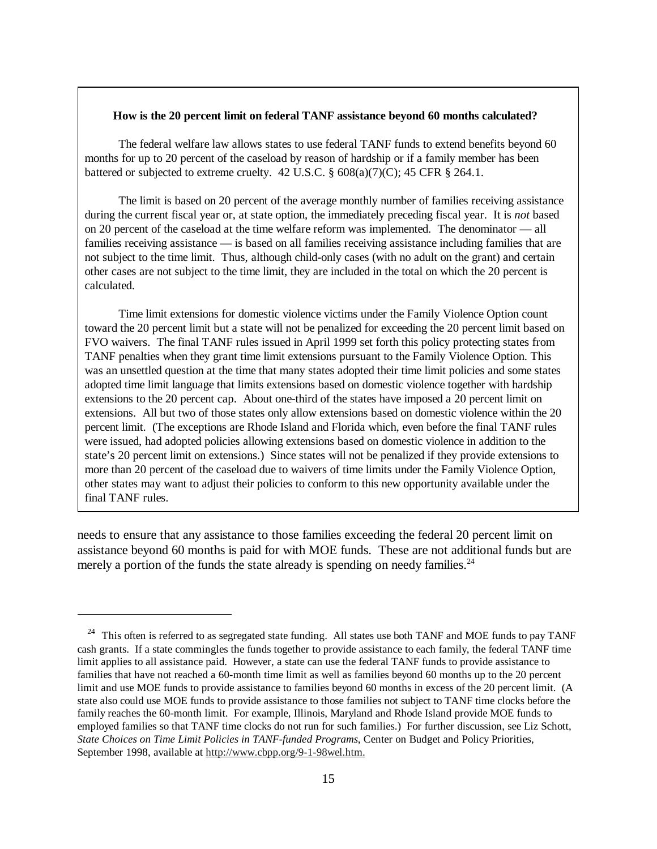#### **How is the 20 percent limit on federal TANF assistance beyond 60 months calculated?**

The federal welfare law allows states to use federal TANF funds to extend benefits beyond 60 months for up to 20 percent of the caseload by reason of hardship or if a family member has been battered or subjected to extreme cruelty. 42 U.S.C.  $\S$  608(a)(7)(C); 45 CFR  $\S$  264.1.

The limit is based on 20 percent of the average monthly number of families receiving assistance during the current fiscal year or, at state option, the immediately preceding fiscal year. It is *not* based on 20 percent of the caseload at the time welfare reform was implemented. The denominator — all families receiving assistance — is based on all families receiving assistance including families that are not subject to the time limit. Thus, although child-only cases (with no adult on the grant) and certain other cases are not subject to the time limit, they are included in the total on which the 20 percent is calculated.

Time limit extensions for domestic violence victims under the Family Violence Option count toward the 20 percent limit but a state will not be penalized for exceeding the 20 percent limit based on FVO waivers. The final TANF rules issued in April 1999 set forth this policy protecting states from TANF penalties when they grant time limit extensions pursuant to the Family Violence Option. This was an unsettled question at the time that many states adopted their time limit policies and some states adopted time limit language that limits extensions based on domestic violence together with hardship extensions to the 20 percent cap. About one-third of the states have imposed a 20 percent limit on extensions. All but two of those states only allow extensions based on domestic violence within the 20 percent limit. (The exceptions are Rhode Island and Florida which, even before the final TANF rules were issued, had adopted policies allowing extensions based on domestic violence in addition to the state's 20 percent limit on extensions.) Since states will not be penalized if they provide extensions to more than 20 percent of the caseload due to waivers of time limits under the Family Violence Option, other states may want to adjust their policies to conform to this new opportunity available under the final TANF rules.

needs to ensure that any assistance to those families exceeding the federal 20 percent limit on assistance beyond 60 months is paid for with MOE funds. These are not additional funds but are merely a portion of the funds the state already is spending on needy families.<sup>24</sup>

<sup>&</sup>lt;sup>24</sup> This often is referred to as segregated state funding. All states use both TANF and MOE funds to pay TANF cash grants. If a state commingles the funds together to provide assistance to each family, the federal TANF time limit applies to all assistance paid. However, a state can use the federal TANF funds to provide assistance to families that have not reached a 60-month time limit as well as families beyond 60 months up to the 20 percent limit and use MOE funds to provide assistance to families beyond 60 months in excess of the 20 percent limit. (A state also could use MOE funds to provide assistance to those families not subject to TANF time clocks before the family reaches the 60-month limit. For example, Illinois, Maryland and Rhode Island provide MOE funds to employed families so that TANF time clocks do not run for such families.) For further discussion, see Liz Schott, *State Choices on Time Limit Policies in TANF-funded Programs*, Center on Budget and Policy Priorities, September 1998, available at http://www.cbpp.org/9-1-98wel.htm.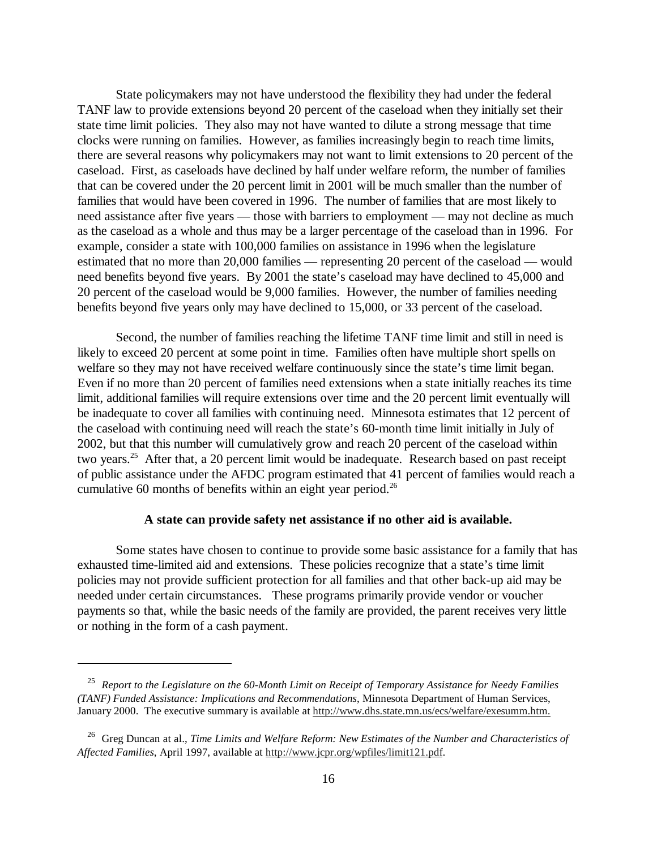State policymakers may not have understood the flexibility they had under the federal TANF law to provide extensions beyond 20 percent of the caseload when they initially set their state time limit policies. They also may not have wanted to dilute a strong message that time clocks were running on families. However, as families increasingly begin to reach time limits, there are several reasons why policymakers may not want to limit extensions to 20 percent of the caseload. First, as caseloads have declined by half under welfare reform, the number of families that can be covered under the 20 percent limit in 2001 will be much smaller than the number of families that would have been covered in 1996. The number of families that are most likely to need assistance after five years — those with barriers to employment — may not decline as much as the caseload as a whole and thus may be a larger percentage of the caseload than in 1996. For example, consider a state with 100,000 families on assistance in 1996 when the legislature estimated that no more than 20,000 families — representing 20 percent of the caseload — would need benefits beyond five years. By 2001 the state's caseload may have declined to 45,000 and 20 percent of the caseload would be 9,000 families. However, the number of families needing benefits beyond five years only may have declined to 15,000, or 33 percent of the caseload.

Second, the number of families reaching the lifetime TANF time limit and still in need is likely to exceed 20 percent at some point in time. Families often have multiple short spells on welfare so they may not have received welfare continuously since the state's time limit began. Even if no more than 20 percent of families need extensions when a state initially reaches its time limit, additional families will require extensions over time and the 20 percent limit eventually will be inadequate to cover all families with continuing need. Minnesota estimates that 12 percent of the caseload with continuing need will reach the state's 60-month time limit initially in July of 2002, but that this number will cumulatively grow and reach 20 percent of the caseload within two years.25 After that, a 20 percent limit would be inadequate. Research based on past receipt of public assistance under the AFDC program estimated that 41 percent of families would reach a cumulative 60 months of benefits within an eight year period.<sup>26</sup>

#### **A state can provide safety net assistance if no other aid is available.**

Some states have chosen to continue to provide some basic assistance for a family that has exhausted time-limited aid and extensions. These policies recognize that a state's time limit policies may not provide sufficient protection for all families and that other back-up aid may be needed under certain circumstances. These programs primarily provide vendor or voucher payments so that, while the basic needs of the family are provided, the parent receives very little or nothing in the form of a cash payment.

 <sup>25</sup> *Report to the Legislature on the 60-Month Limit on Receipt of Temporary Assistance for Needy Families (TANF) Funded Assistance: Implications and Recommendations*, Minnesota Department of Human Services, January 2000. The executive summary is available at http://www.dhs.state.mn.us/ecs/welfare/exesumm.htm.

 <sup>26</sup> Greg Duncan at al., *Time Limits and Welfare Reform: New Estimates of the Number and Characteristics of Affected Families*, April 1997, available at http://www.jcpr.org/wpfiles/limit121.pdf.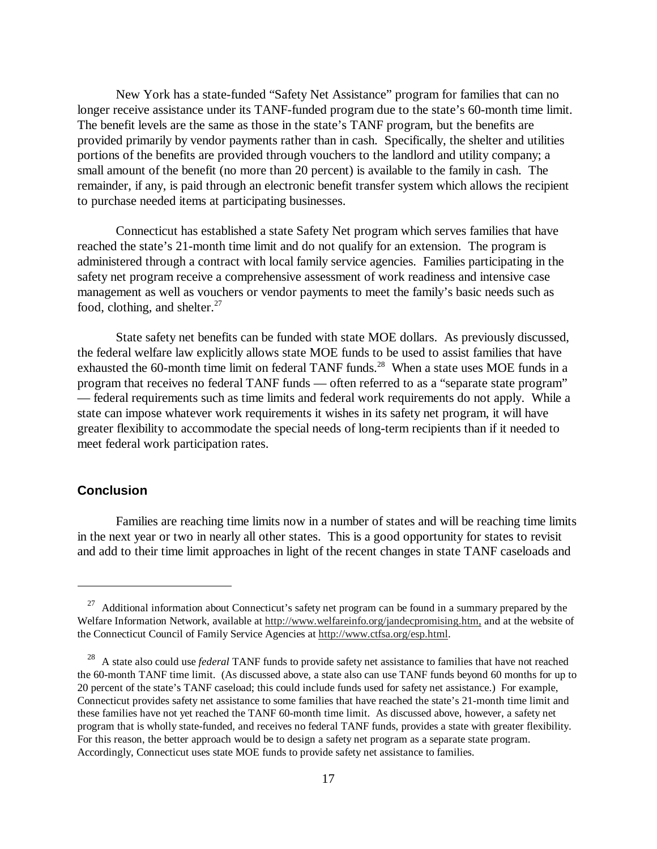New York has a state-funded "Safety Net Assistance" program for families that can no longer receive assistance under its TANF-funded program due to the state's 60-month time limit. The benefit levels are the same as those in the state's TANF program, but the benefits are provided primarily by vendor payments rather than in cash. Specifically, the shelter and utilities portions of the benefits are provided through vouchers to the landlord and utility company; a small amount of the benefit (no more than 20 percent) is available to the family in cash. The remainder, if any, is paid through an electronic benefit transfer system which allows the recipient to purchase needed items at participating businesses.

Connecticut has established a state Safety Net program which serves families that have reached the state's 21-month time limit and do not qualify for an extension. The program is administered through a contract with local family service agencies. Families participating in the safety net program receive a comprehensive assessment of work readiness and intensive case management as well as vouchers or vendor payments to meet the family's basic needs such as food, clothing, and shelter. $27$ 

State safety net benefits can be funded with state MOE dollars. As previously discussed, the federal welfare law explicitly allows state MOE funds to be used to assist families that have exhausted the 60-month time limit on federal TANF funds.<sup>28</sup> When a state uses MOE funds in a program that receives no federal TANF funds — often referred to as a "separate state program" — federal requirements such as time limits and federal work requirements do not apply. While a state can impose whatever work requirements it wishes in its safety net program, it will have greater flexibility to accommodate the special needs of long-term recipients than if it needed to meet federal work participation rates.

## **Conclusion**

Families are reaching time limits now in a number of states and will be reaching time limits in the next year or two in nearly all other states. This is a good opportunity for states to revisit and add to their time limit approaches in light of the recent changes in state TANF caseloads and

 $27$  Additional information about Connecticut's safety net program can be found in a summary prepared by the Welfare Information Network, available at http://www.welfareinfo.org/jandecpromising.htm, and at the website of the Connecticut Council of Family Service Agencies at http://www.ctfsa.org/esp.html.

<sup>&</sup>lt;sup>28</sup> A state also could use *federal* TANF funds to provide safety net assistance to families that have not reached the 60-month TANF time limit. (As discussed above, a state also can use TANF funds beyond 60 months for up to 20 percent of the state's TANF caseload; this could include funds used for safety net assistance.) For example, Connecticut provides safety net assistance to some families that have reached the state's 21-month time limit and these families have not yet reached the TANF 60-month time limit. As discussed above, however, a safety net program that is wholly state-funded, and receives no federal TANF funds, provides a state with greater flexibility. For this reason, the better approach would be to design a safety net program as a separate state program. Accordingly, Connecticut uses state MOE funds to provide safety net assistance to families.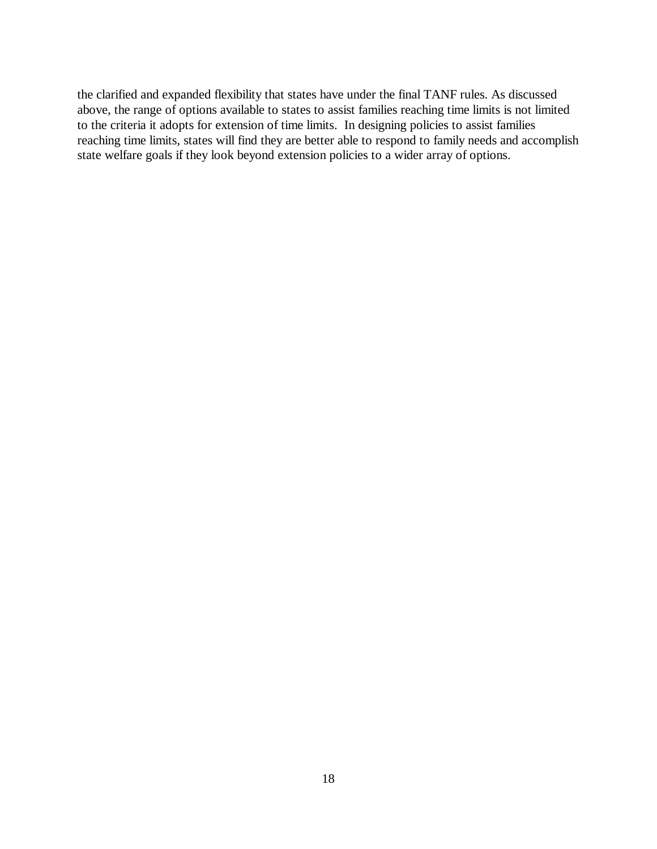the clarified and expanded flexibility that states have under the final TANF rules. As discussed above, the range of options available to states to assist families reaching time limits is not limited to the criteria it adopts for extension of time limits. In designing policies to assist families reaching time limits, states will find they are better able to respond to family needs and accomplish state welfare goals if they look beyond extension policies to a wider array of options.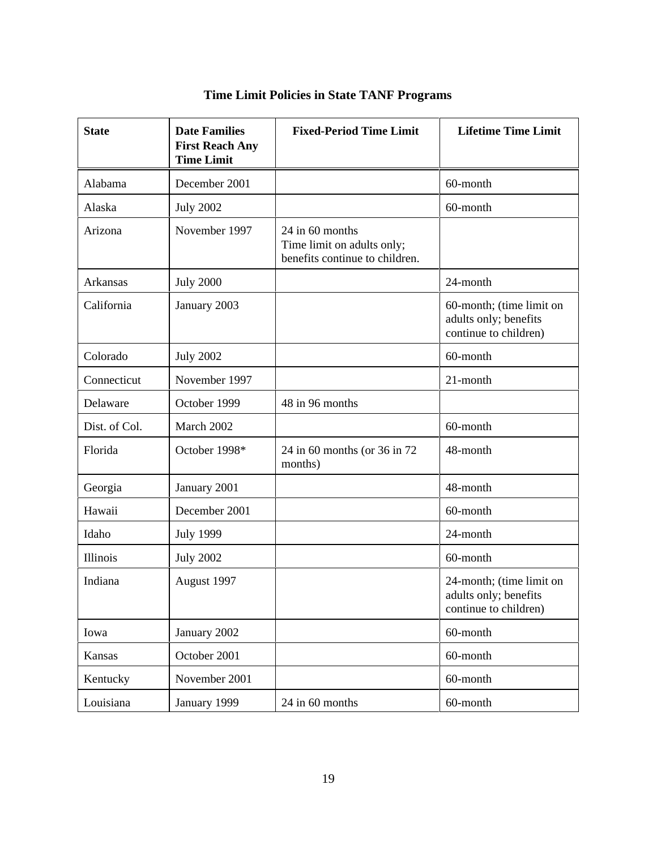| <b>State</b>  | <b>Date Families</b><br><b>First Reach Any</b><br><b>Time Limit</b> | <b>Fixed-Period Time Limit</b>                                                  | <b>Lifetime Time Limit</b>                                                 |
|---------------|---------------------------------------------------------------------|---------------------------------------------------------------------------------|----------------------------------------------------------------------------|
| Alabama       | December 2001                                                       |                                                                                 | 60-month                                                                   |
| Alaska        | <b>July 2002</b>                                                    |                                                                                 | 60-month                                                                   |
| Arizona       | November 1997                                                       | 24 in 60 months<br>Time limit on adults only;<br>benefits continue to children. |                                                                            |
| Arkansas      | <b>July 2000</b>                                                    |                                                                                 | 24-month                                                                   |
| California    | January 2003                                                        |                                                                                 | 60-month; (time limit on<br>adults only; benefits<br>continue to children) |
| Colorado      | <b>July 2002</b>                                                    |                                                                                 | 60-month                                                                   |
| Connecticut   | November 1997                                                       |                                                                                 | 21-month                                                                   |
| Delaware      | October 1999                                                        | 48 in 96 months                                                                 |                                                                            |
| Dist. of Col. | March 2002                                                          |                                                                                 | 60-month                                                                   |
| Florida       | October 1998*                                                       | 24 in 60 months (or 36 in 72<br>months)                                         | 48-month                                                                   |
| Georgia       | January 2001                                                        |                                                                                 | 48-month                                                                   |
| Hawaii        | December 2001                                                       |                                                                                 | 60-month                                                                   |
| Idaho         | <b>July 1999</b>                                                    |                                                                                 | 24-month                                                                   |
| Illinois      | <b>July 2002</b>                                                    |                                                                                 | 60-month                                                                   |
| Indiana       | August 1997                                                         |                                                                                 | 24-month; (time limit on<br>adults only; benefits<br>continue to children) |
| Iowa          | January 2002                                                        |                                                                                 | 60-month                                                                   |
| Kansas        | October 2001                                                        |                                                                                 | 60-month                                                                   |
| Kentucky      | November 2001                                                       |                                                                                 | 60-month                                                                   |
| Louisiana     | January 1999                                                        | 24 in 60 months                                                                 | 60-month                                                                   |

# **Time Limit Policies in State TANF Programs**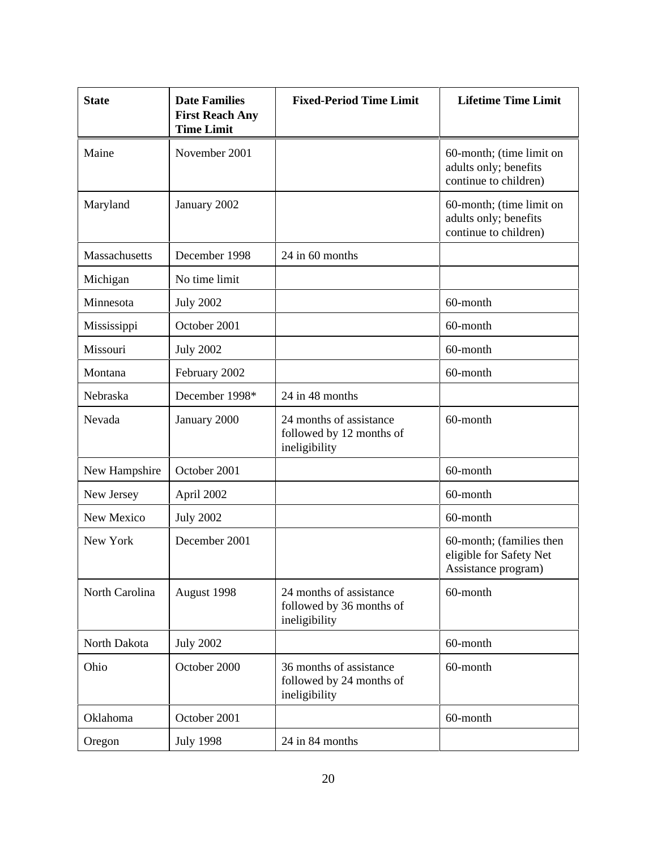| <b>State</b>   | <b>Date Families</b><br><b>First Reach Any</b><br><b>Time Limit</b> | <b>Fixed-Period Time Limit</b>                                       | <b>Lifetime Time Limit</b>                                                 |
|----------------|---------------------------------------------------------------------|----------------------------------------------------------------------|----------------------------------------------------------------------------|
| Maine          | November 2001                                                       |                                                                      | 60-month; (time limit on<br>adults only; benefits<br>continue to children) |
| Maryland       | January 2002                                                        |                                                                      | 60-month; (time limit on<br>adults only; benefits<br>continue to children) |
| Massachusetts  | December 1998                                                       | 24 in 60 months                                                      |                                                                            |
| Michigan       | No time limit                                                       |                                                                      |                                                                            |
| Minnesota      | <b>July 2002</b>                                                    |                                                                      | 60-month                                                                   |
| Mississippi    | October 2001                                                        |                                                                      | 60-month                                                                   |
| Missouri       | <b>July 2002</b>                                                    |                                                                      | 60-month                                                                   |
| Montana        | February 2002                                                       |                                                                      | 60-month                                                                   |
| Nebraska       | December 1998*                                                      | 24 in 48 months                                                      |                                                                            |
| Nevada         | January 2000                                                        | 24 months of assistance<br>followed by 12 months of<br>ineligibility | 60-month                                                                   |
| New Hampshire  | October 2001                                                        |                                                                      | 60-month                                                                   |
| New Jersey     | April 2002                                                          |                                                                      | 60-month                                                                   |
| New Mexico     | <b>July 2002</b>                                                    |                                                                      | 60-month                                                                   |
| New York       | December 2001                                                       |                                                                      | 60-month; (families then<br>eligible for Safety Net<br>Assistance program) |
| North Carolina | August 1998                                                         | 24 months of assistance<br>followed by 36 months of<br>ineligibility | 60-month                                                                   |
| North Dakota   | <b>July 2002</b>                                                    |                                                                      | 60-month                                                                   |
| Ohio           | October 2000                                                        | 36 months of assistance<br>followed by 24 months of<br>ineligibility | 60-month                                                                   |
| Oklahoma       | October 2001                                                        |                                                                      | 60-month                                                                   |
| Oregon         | <b>July 1998</b>                                                    | 24 in 84 months                                                      |                                                                            |